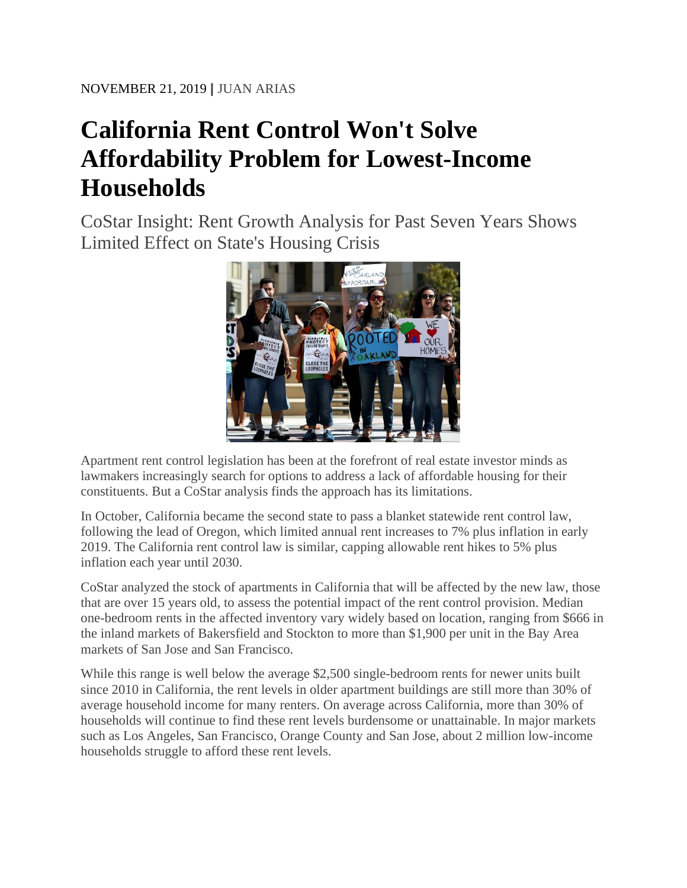## **California Rent Control Won't Solve Affordability Problem for Lowest-Income Households**

CoStar Insight: Rent Growth Analysis for Past Seven Years Shows Limited Effect on State's Housing Crisis



Apartment rent control legislation has been at the forefront of real estate investor minds as lawmakers increasingly search for options to address a lack of affordable housing for their constituents. But a CoStar analysis finds the approach has its limitations.

In October, California became the second state to pass a blanket statewide rent control law, following the lead of Oregon, which limited annual rent increases to 7% plus inflation in early 2019. The California rent control law is similar, capping allowable rent hikes to 5% plus inflation each year until 2030.

CoStar analyzed the stock of apartments in California that will be affected by the new law, those that are over 15 years old, to assess the potential impact of the rent control provision. Median one-bedroom rents in the affected inventory vary widely based on location, ranging from \$666 in the inland markets of Bakersfield and Stockton to more than \$1,900 per unit in the Bay Area markets of San Jose and San Francisco.

While this range is well below the average \$2,500 single-bedroom rents for newer units built since 2010 in California, the rent levels in older apartment buildings are still more than 30% of average household income for many renters. On average across California, more than 30% of households will continue to find these rent levels burdensome or unattainable. In major markets such as Los Angeles, San Francisco, Orange County and San Jose, about 2 million low-income households struggle to afford these rent levels.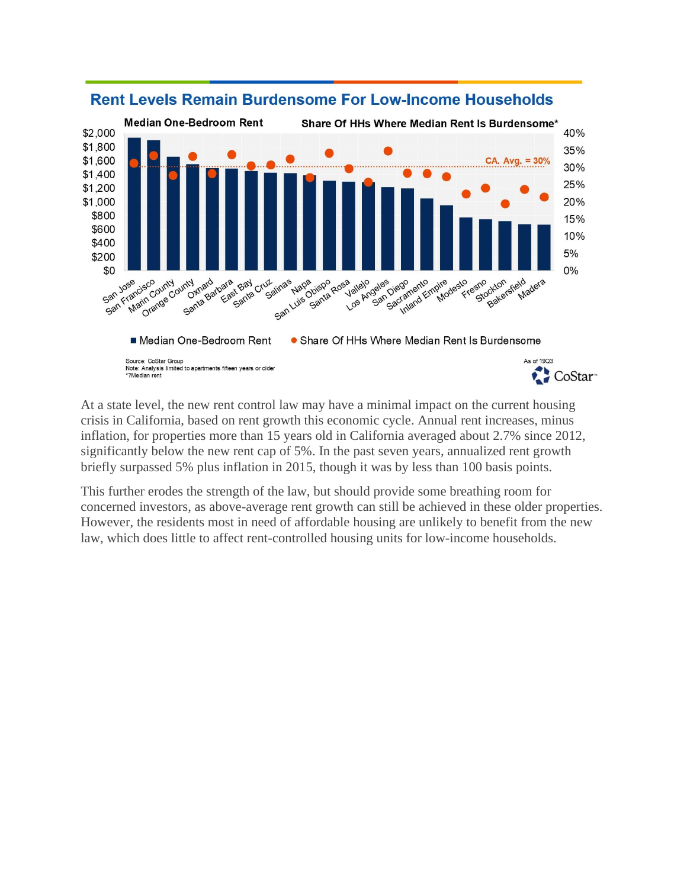

## **Rent Levels Remain Burdensome For Low-Income Households**

At a state level, the new rent control law may have a minimal impact on the current housing crisis in California, based on rent growth this economic cycle. Annual rent increases, minus inflation, for properties more than 15 years old in California averaged about 2.7% since 2012, significantly below the new rent cap of 5%. In the past seven years, annualized rent growth briefly surpassed 5% plus inflation in 2015, though it was by less than 100 basis points.

This further erodes the strength of the law, but should provide some breathing room for concerned investors, as above-average rent growth can still be achieved in these older properties. However, the residents most in need of affordable housing are unlikely to benefit from the new law, which does little to affect rent-controlled housing units for low-income households.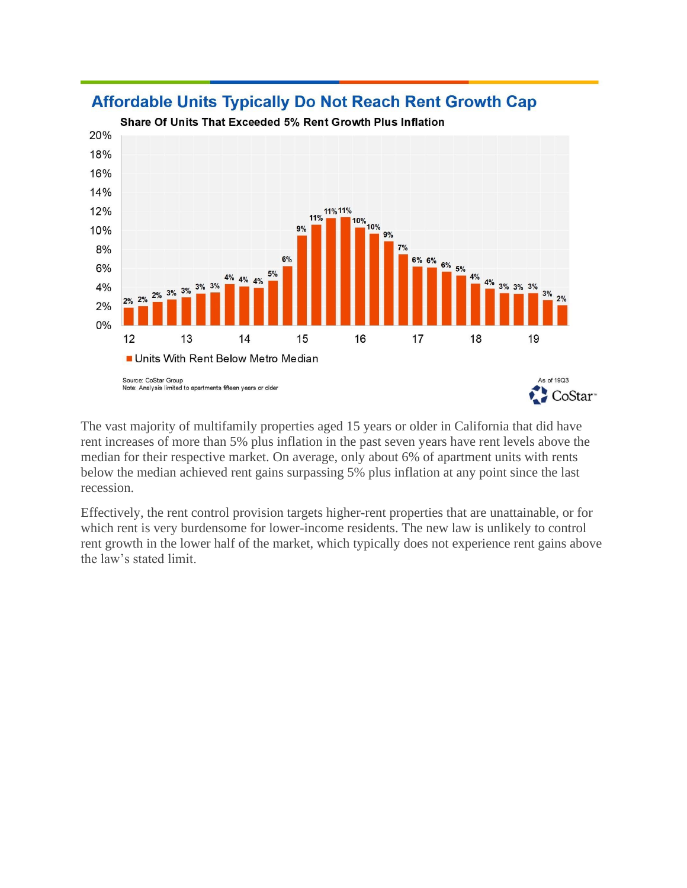

## **Affordable Units Typically Do Not Reach Rent Growth Cap**

The vast majority of multifamily properties aged 15 years or older in California that did have rent increases of more than 5% plus inflation in the past seven years have rent levels above the median for their respective market. On average, only about 6% of apartment units with rents below the median achieved rent gains surpassing 5% plus inflation at any point since the last recession.

Effectively, the rent control provision targets higher-rent properties that are unattainable, or for which rent is very burdensome for lower-income residents. The new law is unlikely to control rent growth in the lower half of the market, which typically does not experience rent gains above the law's stated limit.